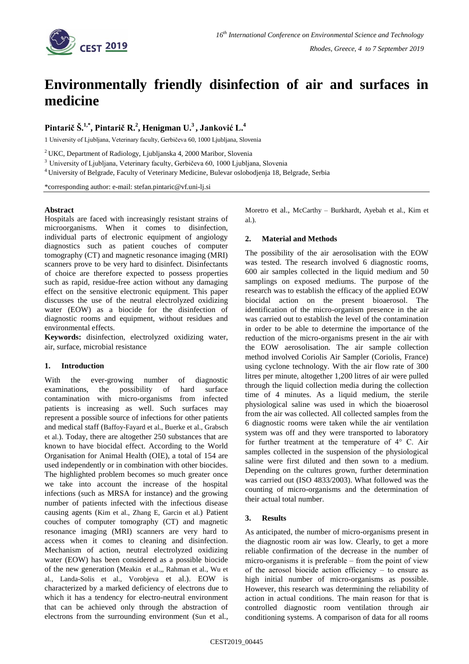

# **Environmentally friendly disinfection of air and surfaces in medicine**

# Pintarič Š.<sup>1,\*</sup>, Pintarič R.<sup>2</sup>, Henigman U.<sup>3</sup>, Janković L.<sup>4</sup>

1 University of Ljubljana, Veterinary faculty, Gerbičeva 60, 1000 Ljubljana, Slovenia

<sup>2</sup> UKC, Department of Radiology, Ljubljanska 4, 2000 Maribor, Slovenia

<sup>3</sup> University of Ljubljana, Veterinary faculty, Gerbičeva 60, 1000 Ljubljana, Slovenia

<sup>4</sup> University of Belgrade, Faculty of Veterinary Medicine, Bulevar oslobodjenja 18, Belgrade, Serbia

\*corresponding author: e-mail: stefan.pintaric@vf.uni-lj.si

#### **Abstract**

Hospitals are faced with increasingly resistant strains of microorganisms. When it comes to disinfection, individual parts of electronic equipment of angiology diagnostics such as patient couches of computer tomography (CT) and magnetic resonance imaging (MRI) scanners prove to be very hard to disinfect. Disinfectants of choice are therefore expected to possess properties such as rapid, residue-free action without any damaging effect on the sensitive electronic equipment. This paper discusses the use of the neutral electrolyzed oxidizing water (EOW) as a biocide for the disinfection of diagnostic rooms and equipment, without residues and environmental effects.

**Keywords:** disinfection, electrolyzed oxidizing water, air, surface, microbial resistance

### **1. Introduction**

With the ever-growing number of diagnostic examinations, the possibility of hard surface contamination with micro-organisms from infected patients is increasing as well. Such surfaces may represent a possible source of infections for other patients and medical staff (Baffoy-Fayard et al., Buerke et al., Grabsch et al.). Today, there are altogether 250 substances that are known to have biocidal effect. According to the World Organisation for Animal Health (OIE), a total of 154 are used independently or in combination with other biocides. The highlighted problem becomes so much greater once we take into account the increase of the hospital infections (such as MRSA for instance) and the growing number of patients infected with the infectious disease causing agents (Kim et al., Zhang E, Garcin et al.) Patient couches of computer tomography (CT) and magnetic resonance imaging (MRI) scanners are very hard to access when it comes to cleaning and disinfection. Mechanism of action, neutral electrolyzed oxidizing water (EOW) has been considered as a possible biocide of the new generation (Meakin et al.,, Rahman et al., Wu et al., Landa-Solis et al., Vorobjeva et al.). EOW is characterized by a marked deficiency of electrons due to which it has a tendency for electro-neutral environment that can be achieved only through the abstraction of electrons from the surrounding environment (Sun et al., Moretro et al., McCarthy – Burkhardt, Ayebah et al., Kim et al.).

### **2. Material and Methods**

The possibility of the air aerosolisation with the EOW was tested. The research involved 6 diagnostic rooms, 600 air samples collected in the liquid medium and 50 samplings on exposed mediums. The purpose of the research was to establish the efficacy of the applied EOW biocidal action on the present bioaerosol. The identification of the micro-organism presence in the air was carried out to establish the level of the contamination in order to be able to determine the importance of the reduction of the micro-organisms present in the air with the EOW aerosolisation. The air sample collection method involved Coriolis Air Sampler (Coriolis, France) using cyclone technology. With the air flow rate of 300 litres per minute, altogether 1,200 litres of air were pulled through the liquid collection media during the collection time of 4 minutes. As a liquid medium, the sterile physiological saline was used in which the bioaerosol from the air was collected. All collected samples from the 6 diagnostic rooms were taken while the air ventilation system was off and they were transported to laboratory for further treatment at the temperature of  $4^{\circ}$  C. Air samples collected in the suspension of the physiological saline were first diluted and then sown to a medium. Depending on the cultures grown, further determination was carried out (ISO 4833/2003). What followed was the counting of micro-organisms and the determination of their actual total number.

## **3. Results**

As anticipated, the number of micro-organisms present in the diagnostic room air was low. Clearly, to get a more reliable confirmation of the decrease in the number of micro-organisms it is preferable  $-$  from the point of view of the aerosol biocide action efficiency  $-$  to ensure as high initial number of micro-organisms as possible. However, this research was determining the reliability of action in actual conditions. The main reason for that is controlled diagnostic room ventilation through air conditioning systems. A comparison of data for all rooms